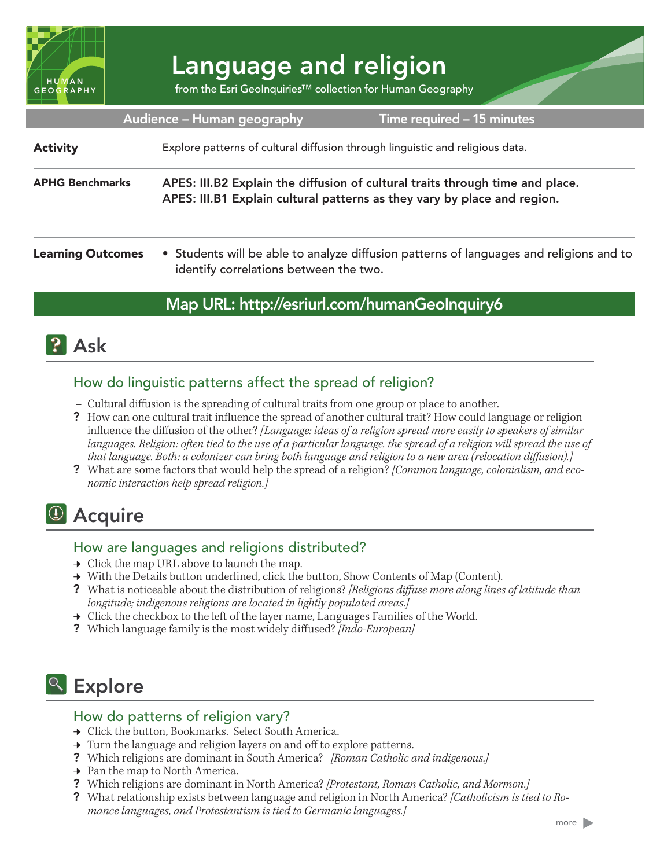

# Language and religion

from the Esri GeoInquiries™ collection for Human Geography

| Audience - Human geography<br>Time required - 15 minutes |                                                                                                                                                           |                                                                                         |
|----------------------------------------------------------|-----------------------------------------------------------------------------------------------------------------------------------------------------------|-----------------------------------------------------------------------------------------|
| <b>Activity</b>                                          | Explore patterns of cultural diffusion through linguistic and religious data.                                                                             |                                                                                         |
| <b>APHG Benchmarks</b>                                   | APES: III.B2 Explain the diffusion of cultural traits through time and place.<br>APES: III.B1 Explain cultural patterns as they vary by place and region. |                                                                                         |
| <b>Learning Outcomes</b>                                 |                                                                                                                                                           | • Students will be able to analyze diffusion patterns of languages and religions and to |

# Map URL: http://esriurl.com/humanGeoInquiry6

# **P** Ask

## How do linguistic patterns affect the spread of religion?

**–** Cultural diffusion is the spreading of cultural traits from one group or place to another.

identify correlations between the two.

- ? How can one cultural trait influence the spread of another cultural trait? How could language or religion influence the diffusion of the other? *[Language: ideas of a religion spread more easily to speakers of similar*  languages. Religion: often tied to the use of a particular language, the spread of a religion will spread the use of *that language. Both: a colonizer can bring both language and religion to a new area (relocation diffusion).]*
- ? What are some factors that would help the spread of a religion? *[Common language, colonialism, and economic interaction help spread religion.]*

# <sup>4</sup> Acquire

## How are languages and religions distributed?

- $\rightarrow$  Click the map URL above to launch the map.
- → With the Details button underlined, click the button, Show Contents of Map (Content).
- ? What is noticeable about the distribution of religions? *[Religions diffuse more along lines of latitude than longitude; indigenous religions are located in lightly populated areas.]*
- $\rightarrow$  Click the checkbox to the left of the layer name, Languages Families of the World.
- ? Which language family is the most widely diffused? *[Indo-European]*

# <sup>Q</sup> Explore

#### How do patterns of religion vary?

- → Click the button, Bookmarks. Select South America.
- $\rightarrow$  Turn the language and religion layers on and off to explore patterns.
- ? Which religions are dominant in South America? *[Roman Catholic and indigenous.]*
- **→** Pan the map to North America.
- ? Which religions are dominant in North America? *[Protestant, Roman Catholic, and Mormon.]*
- ? What relationship exists between language and religion in North America? *[Catholicism is tied to Romance languages, and Protestantism is tied to Germanic languages.]*